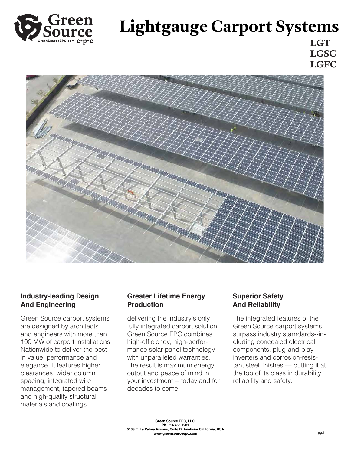

# **Lightgauge Carport Systems**

**LGT LGSC LGFC**



## **Industry-leading Design And Engineering**

Green Source carport systems are designed by architects and engineers with more than 100 MW of carport installations Nationwide to deliver the best in value, performance and elegance. It features higher clearances, wider column spacing, integrated wire management, tapered beams and high-quality structural materials and coatings

### **Greater Lifetime Energy Production**

delivering the industry's only fully integrated carport solution, Green Source EPC combines high-efficiency, high-performance solar panel technology with unparalleled warranties. The result is maximum energy output and peace of mind in your investment -- today and for decades to come.

## **Superior Safety And Reliability**

The integrated features of the Green Source carport systems surpass industry starndards--including concealed electrical components, plug-and-play inverters and corrosion-resistant steel finishes — putting it at the top of its class in durability, reliability and safety.